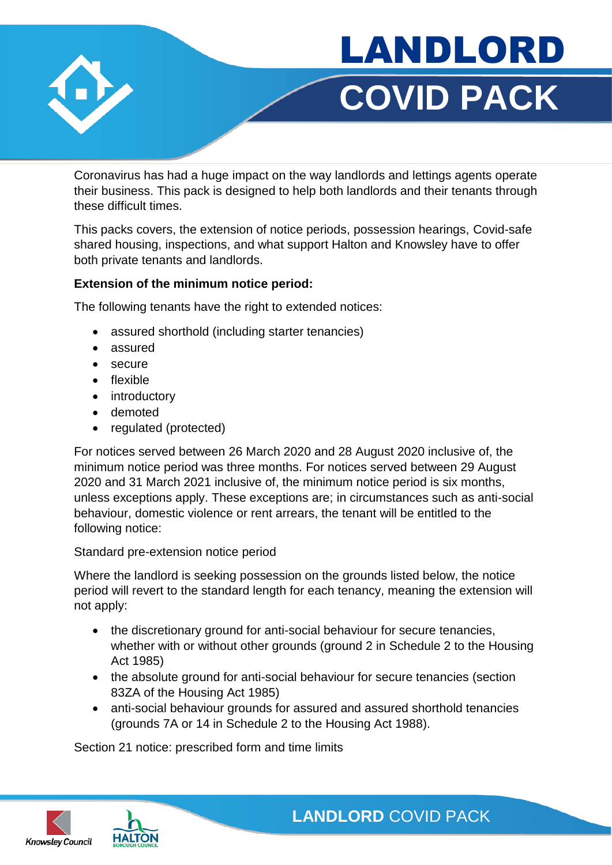



Coronavirus has had a huge impact on the way landlords and lettings agents operate their business. This pack is designed to help both landlords and their tenants through these difficult times.

This packs covers, the extension of notice periods, possession hearings, Covid-safe shared housing, inspections, and what support Halton and Knowsley have to offer both private tenants and landlords.

### **Extension of the minimum notice period:**

The following tenants have the right to extended notices:

- assured shorthold (including starter tenancies)
- assured
- secure
- flexible
- introductory
- demoted
- regulated (protected)

For notices served between 26 March 2020 and 28 August 2020 inclusive of, the minimum notice period was three months. For notices served between 29 August 2020 and 31 March 2021 inclusive of, the minimum notice period is six months, unless exceptions apply. These exceptions are; in circumstances such as anti-social behaviour, domestic violence or rent arrears, the tenant will be entitled to the following notice:

### Standard pre-extension notice period

Where the landlord is seeking possession on the grounds listed below, the notice period will revert to the standard length for each tenancy, meaning the extension will not apply:

- the discretionary ground for anti-social behaviour for secure tenancies, whether with or without other grounds (ground 2 in Schedule 2 to the Housing Act 1985)
- the absolute ground for anti-social behaviour for secure tenancies (section 83ZA of the Housing Act 1985)
- anti-social behaviour grounds for assured and assured shorthold tenancies (grounds 7A or 14 in Schedule 2 to the Housing Act 1988).

Section 21 notice: prescribed form and time limits



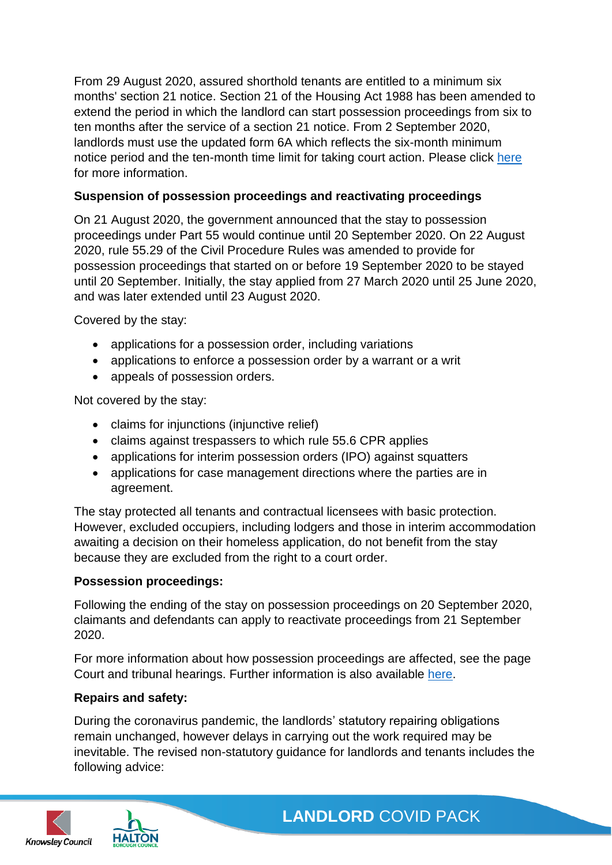From 29 August 2020, assured shorthold tenants are entitled to a minimum six months' section 21 notice. Section 21 of the Housing Act 1988 has been amended to extend the period in which the landlord can start possession proceedings from six to ten months after the service of a section 21 notice. From 2 September 2020, landlords must use the updated form 6A which reflects the six-month minimum notice period and the ten-month time limit for taking court action. Please click [here](https://www.gov.uk/government/news/government-has-changed-the-law-so-most-renters-have-a-6-month-notice-period) for more information.

## **Suspension of possession proceedings and reactivating proceedings**

On 21 August 2020, the government announced that the stay to possession proceedings under Part 55 would continue until 20 September 2020. On 22 August 2020, rule 55.29 of the Civil Procedure Rules was amended to provide for possession proceedings that started on or before 19 September 2020 to be stayed until 20 September. Initially, the stay applied from 27 March 2020 until 25 June 2020, and was later extended until 23 August 2020.

Covered by the stay:

- applications for a possession order, including variations
- applications to enforce a possession order by a warrant or a writ
- appeals of possession orders.

Not covered by the stay:

- claims for injunctions (injunctive relief)
- claims against trespassers to which rule 55.6 CPR applies
- applications for interim possession orders (IPO) against squatters
- applications for case management directions where the parties are in agreement.

The stay protected all tenants and contractual licensees with basic protection. However, excluded occupiers, including lodgers and those in interim accommodation awaiting a decision on their homeless application, do not benefit from the stay because they are excluded from the right to a court order.

### **Possession proceedings:**

Following the ending of the stay on possession proceedings on 20 September 2020, claimants and defendants can apply to reactivate proceedings from 21 September 2020.

For more information about how possession proceedings are affected, see the page Court and tribunal hearings. Further information is also available [here.](https://www.gov.uk/government/publications/understanding-the-possession-action-process-guidance-for-landlords-and-tenants/understanding-the-possession-action-process-a-guide-for-private-landlords-in-england-and-wales)

### **Repairs and safety:**

During the coronavirus pandemic, the landlords' statutory repairing obligations remain unchanged, however delays in carrying out the work required may be inevitable. The revised non-statutory guidance for landlords and tenants includes the following advice:



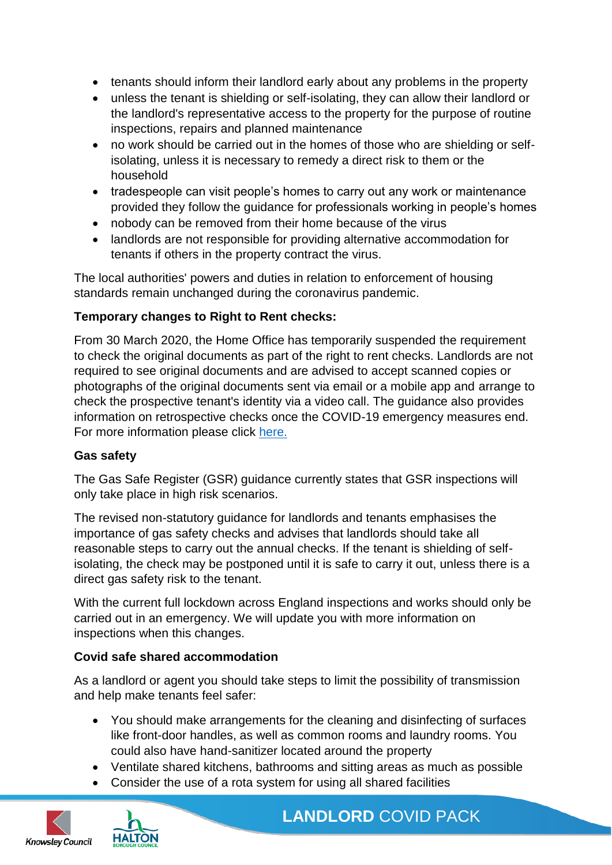- tenants should inform their landlord early about any problems in the property
- unless the tenant is shielding or self-isolating, they can allow their landlord or the landlord's representative access to the property for the purpose of routine inspections, repairs and planned maintenance
- no work should be carried out in the homes of those who are shielding or selfisolating, unless it is necessary to remedy a direct risk to them or the household
- tradespeople can visit people's homes to carry out any work or maintenance provided they follow the guidance for professionals working in people's homes
- nobody can be removed from their home because of the virus
- landlords are not responsible for providing alternative accommodation for tenants if others in the property contract the virus.

The local authorities' powers and duties in relation to enforcement of housing standards remain unchanged during the coronavirus pandemic.

## **Temporary changes to Right to Rent checks:**

From 30 March 2020, the Home Office has temporarily suspended the requirement to check the original documents as part of the right to rent checks. Landlords are not required to see original documents and are advised to accept scanned copies or photographs of the original documents sent via email or a mobile app and arrange to check the prospective tenant's identity via a video call. The guidance also provides information on retrospective checks once the COVID-19 emergency measures end. For more information please click [here.](https://www.gov.uk/guidance/coronavirus-covid-19-landlord-right-to-rent-checks)

### **Gas safety**

The Gas Safe Register (GSR) guidance currently states that GSR inspections will only take place in high risk scenarios.

The revised non-statutory guidance for landlords and tenants emphasises the importance of gas safety checks and advises that landlords should take all reasonable steps to carry out the annual checks. If the tenant is shielding of selfisolating, the check may be postponed until it is safe to carry it out, unless there is a direct gas safety risk to the tenant.

With the current full lockdown across England inspections and works should only be carried out in an emergency. We will update you with more information on inspections when this changes.

### **Covid safe shared accommodation**

As a landlord or agent you should take steps to limit the possibility of transmission and help make tenants feel safer:

- You should make arrangements for the cleaning and disinfecting of surfaces like front-door handles, as well as common rooms and laundry rooms. You could also have hand-sanitizer located around the property
- Ventilate shared kitchens, bathrooms and sitting areas as much as possible
- Consider the use of a rota system for using all shared facilities



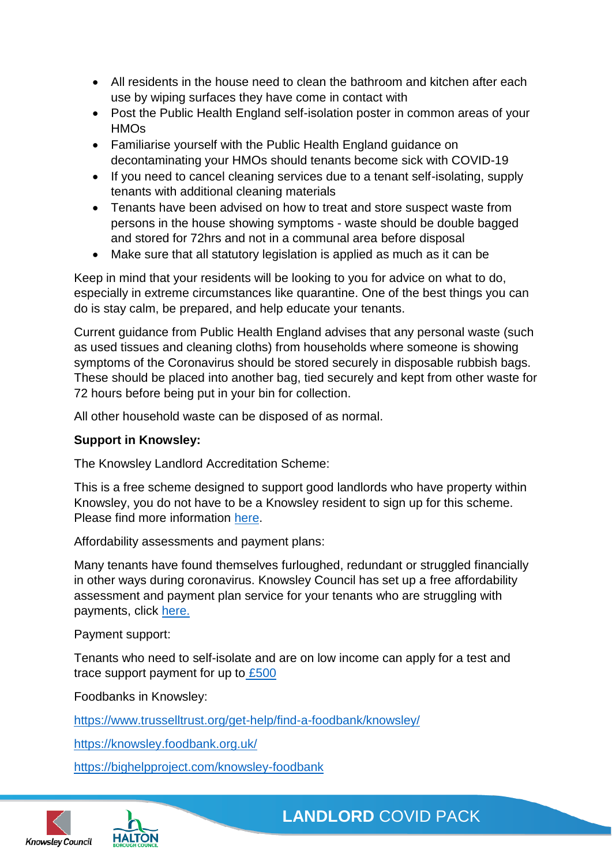- All residents in the house need to clean the bathroom and kitchen after each use by wiping surfaces they have come in contact with
- Post the Public Health England self-isolation poster in common areas of your **HMOs**
- Familiarise yourself with the Public Health England guidance on decontaminating your HMOs should tenants become sick with COVID-19
- If you need to cancel cleaning services due to a tenant self-isolating, supply tenants with additional cleaning materials
- Tenants have been advised on how to treat and store suspect waste from persons in the house showing symptoms - waste should be double bagged and stored for 72hrs and not in a communal area before disposal
- Make sure that all statutory legislation is applied as much as it can be

Keep in mind that your residents will be looking to you for advice on what to do, especially in extreme circumstances like quarantine. One of the best things you can do is stay calm, be prepared, and help educate your tenants.

Current guidance from Public Health England advises that any personal waste (such as used tissues and cleaning cloths) from households where someone is showing symptoms of the Coronavirus should be stored securely in disposable rubbish bags. These should be placed into another bag, tied securely and kept from other waste for 72 hours before being put in your bin for collection.

All other household waste can be disposed of as normal.

# **Support in Knowsley:**

The Knowsley Landlord Accreditation Scheme:

This is a free scheme designed to support good landlords who have property within Knowsley, you do not have to be a Knowsley resident to sign up for this scheme. Please find more information [here.](https://www.knowsley.gov.uk/landlords)

Affordability assessments and payment plans:

Many tenants have found themselves furloughed, redundant or struggled financially in other ways during coronavirus. Knowsley Council has set up a free affordability assessment and payment plan service for your tenants who are struggling with payments, click [here.](https://www.knowsley.gov.uk/residents/housing/support-for-private-landlords/support-during-coronavirus)

Payment support:

Tenants who need to self-isolate and are on low income can apply for a test and trace support payment for up to [£500](https://www.knowsley.gov.uk/residents/apply-for-test-and-trace-support-payment)

Foodbanks in Knowsley:

<https://www.trusselltrust.org/get-help/find-a-foodbank/knowsley/>

<https://knowsley.foodbank.org.uk/>

<https://bighelpproject.com/knowsley-foodbank>